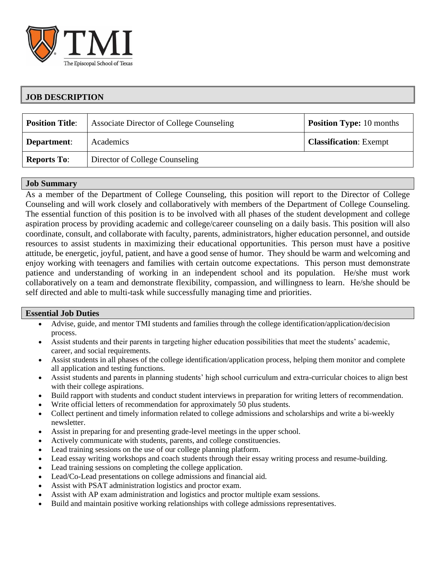

# **JOB DESCRIPTION**

| <b>Position Title:</b> | Associate Director of College Counseling | <b>Position Type:</b> 10 months |
|------------------------|------------------------------------------|---------------------------------|
| <b>Department:</b>     | Academics                                | <b>Classification: Exempt</b>   |
| <b>Reports To:</b>     | Director of College Counseling           |                                 |

# **Job Summary**

As a member of the Department of College Counseling, this position will report to the Director of College Counseling and will work closely and collaboratively with members of the Department of College Counseling. The essential function of this position is to be involved with all phases of the student development and college aspiration process by providing academic and college/career counseling on a daily basis. This position will also coordinate, consult, and collaborate with faculty, parents, administrators, higher education personnel, and outside resources to assist students in maximizing their educational opportunities. This person must have a positive attitude, be energetic, joyful, patient, and have a good sense of humor. They should be warm and welcoming and enjoy working with teenagers and families with certain outcome expectations. This person must demonstrate patience and understanding of working in an independent school and its population. He/she must work collaboratively on a team and demonstrate flexibility, compassion, and willingness to learn. He/she should be self directed and able to multi-task while successfully managing time and priorities.

### **Essential Job Duties**

- Advise, guide, and mentor TMI students and families through the college identification/application/decision process.
- Assist students and their parents in targeting higher education possibilities that meet the students' academic, career, and social requirements.
- Assist students in all phases of the college identification/application process, helping them monitor and complete all application and testing functions.
- Assist students and parents in planning students' high school curriculum and extra-curricular choices to align best with their college aspirations.
- Build rapport with students and conduct student interviews in preparation for writing letters of recommendation.
- Write official letters of recommendation for approximately 50 plus students.
- Collect pertinent and timely information related to college admissions and scholarships and write a bi-weekly newsletter.
- Assist in preparing for and presenting grade-level meetings in the upper school.
- Actively communicate with students, parents, and college constituencies.
- Lead training sessions on the use of our college planning platform.
- Lead essay writing workshops and coach students through their essay writing process and resume-building.
- Lead training sessions on completing the college application.
- Lead/Co-Lead presentations on college admissions and financial aid.
- Assist with PSAT administration logistics and proctor exam.
- Assist with AP exam administration and logistics and proctor multiple exam sessions.
- Build and maintain positive working relationships with college admissions representatives.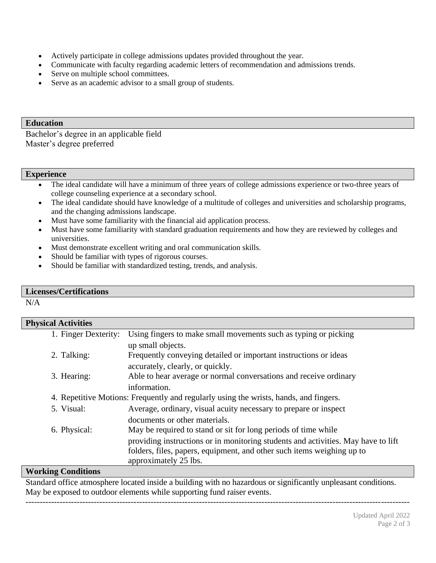- Actively participate in college admissions updates provided throughout the year.
- Communicate with faculty regarding academic letters of recommendation and admissions trends.
- Serve on multiple school committees.
- Serve as an academic advisor to a small group of students.

## **Education**

Bachelor's degree in an applicable field Master's degree preferred

### **Experience**

- The ideal candidate will have a minimum of three years of college admissions experience or two-three years of college counseling experience at a secondary school.
- The ideal candidate should have knowledge of a multitude of colleges and universities and scholarship programs, and the changing admissions landscape.
- Must have some familiarity with the financial aid application process.
- Must have some familiarity with standard graduation requirements and how they are reviewed by colleges and universities.
- Must demonstrate excellent writing and oral communication skills.
- Should be familiar with types of rigorous courses.
- Should be familiar with standardized testing, trends, and analysis.

### **Licenses/Certifications**

N/A

| <b>Physical Activities</b>                                                            |                                                                                     |                                                                                   |  |  |
|---------------------------------------------------------------------------------------|-------------------------------------------------------------------------------------|-----------------------------------------------------------------------------------|--|--|
|                                                                                       | 1. Finger Dexterity:                                                                | Using fingers to make small movements such as typing or picking                   |  |  |
|                                                                                       |                                                                                     | up small objects.                                                                 |  |  |
|                                                                                       | 2. Talking:                                                                         | Frequently conveying detailed or important instructions or ideas                  |  |  |
|                                                                                       |                                                                                     | accurately, clearly, or quickly.                                                  |  |  |
|                                                                                       | 3. Hearing:                                                                         | Able to hear average or normal conversations and receive ordinary                 |  |  |
|                                                                                       |                                                                                     | information.                                                                      |  |  |
| 4. Repetitive Motions: Frequently and regularly using the wrists, hands, and fingers. |                                                                                     |                                                                                   |  |  |
|                                                                                       | 5. Visual:                                                                          | Average, ordinary, visual acuity necessary to prepare or inspect                  |  |  |
|                                                                                       |                                                                                     | documents or other materials.                                                     |  |  |
|                                                                                       | 6. Physical:                                                                        | May be required to stand or sit for long periods of time while                    |  |  |
|                                                                                       |                                                                                     | providing instructions or in monitoring students and activities. May have to lift |  |  |
|                                                                                       |                                                                                     | folders, files, papers, equipment, and other such items weighing up to            |  |  |
|                                                                                       |                                                                                     | approximately 25 lbs.                                                             |  |  |
|                                                                                       | $W_{\alpha}$ <sup>-</sup> $\mathbf{u}$ $\alpha$ $\alpha$ <sup>-1</sup> $\mathbf{u}$ |                                                                                   |  |  |

# **Working Conditions**

Standard office atmosphere located inside a building with no hazardous or significantly unpleasant conditions. May be exposed to outdoor elements while supporting fund raiser events.

---------------------------------------------------------------------------------------------------------------------------------------